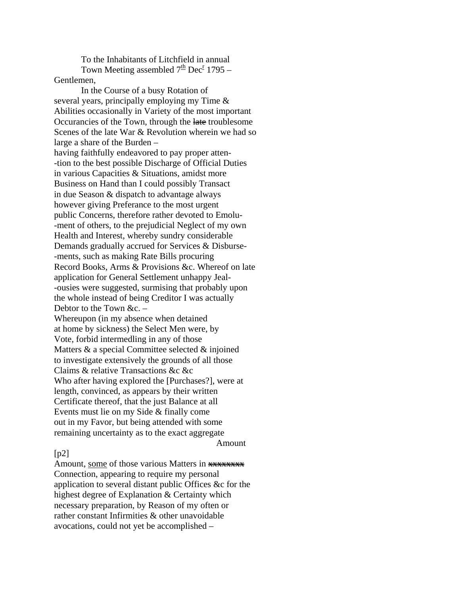To the Inhabitants of Litchfield in annual Town Meeting assembled  $7<sup>th</sup>$  Dec<sup>r</sup> 1795 – Gentlemen,

 In the Course of a busy Rotation of several years, principally employing my Time & Abilities occasionally in Variety of the most important Occurancies of the Town, through the late troublesome Scenes of the late War & Revolution wherein we had so large a share of the Burden – having faithfully endeavored to pay proper atten- -tion to the best possible Discharge of Official Duties in various Capacities & Situations, amidst more Business on Hand than I could possibly Transact in due Season & dispatch to advantage always however giving Preferance to the most urgent public Concerns, therefore rather devoted to Emolu- -ment of others, to the prejudicial Neglect of my own Health and Interest, whereby sundry considerable Demands gradually accrued for Services & Disburse- -ments, such as making Rate Bills procuring Record Books, Arms & Provisions &c. Whereof on late application for General Settlement unhappy Jeal- -ousies were suggested, surmising that probably upon the whole instead of being Creditor I was actually Debtor to the Town &c. – Whereupon (in my absence when detained at home by sickness) the Select Men were, by Vote, forbid intermedling in any of those

Matters & a special Committee selected & injoined to investigate extensively the grounds of all those Claims & relative Transactions &c &c Who after having explored the [Purchases?], were at length, convinced, as appears by their written Certificate thereof, that the just Balance at all Events must lie on my Side & finally come out in my Favor, but being attended with some remaining uncertainty as to the exact aggregate Amount

## $[p2]$

Amount, some of those various Matters in **XXXXXXXX** Connection, appearing to require my personal application to several distant public Offices &c for the highest degree of Explanation & Certainty which necessary preparation, by Reason of my often or rather constant Infirmities & other unavoidable avocations, could not yet be accomplished –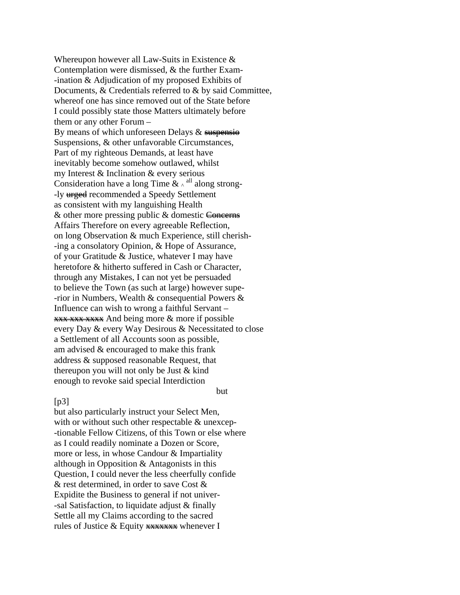Whereupon however all Law-Suits in Existence & Contemplation were dismissed, & the further Exam- -ination & Adjudication of my proposed Exhibits of Documents, & Credentials referred to & by said Committee, whereof one has since removed out of the State before I could possibly state those Matters ultimately before them or any other Forum – By means of which unforeseen Delays  $&$  suspensio Suspensions, & other unfavorable Circumstances, Part of my righteous Demands, at least have inevitably become somehow outlawed, whilst my Interest & Inclination & every serious Consideration have a long Time  $\& \wedge$ <sup>all</sup> along strong--ly **urged** recommended a Speedy Settlement as consistent with my languishing Health  $&$  other more pressing public  $&$  domestic Concerns Affairs Therefore on every agreeable Reflection, on long Observation & much Experience, still cherish- -ing a consolatory Opinion, & Hope of Assurance, of your Gratitude & Justice, whatever I may have heretofore & hitherto suffered in Cash or Character, through any Mistakes, I can not yet be persuaded to believe the Town (as such at large) however supe- -rior in Numbers, Wealth & consequential Powers & Influence can wish to wrong a faithful Servant – **xxx xxx xxxx** And being more & more if possible every Day & every Way Desirous & Necessitated to close a Settlement of all Accounts soon as possible, am advised & encouraged to make this frank address & supposed reasonable Request, that thereupon you will not only be Just & kind enough to revoke said special Interdiction

## $[p3]$

but also particularly instruct your Select Men, with or without such other respectable & unexcep--tionable Fellow Citizens, of this Town or else where as I could readily nominate a Dozen or Score, more or less, in whose Candour & Impartiality although in Opposition & Antagonists in this Question, I could never the less cheerfully confide & rest determined, in order to save Cost & Expidite the Business to general if not univer- -sal Satisfaction, to liquidate adjust & finally Settle all my Claims according to the sacred rules of Justice  $&$  Equity  $\frac{1}{2}$  Equity  $\frac{1}{2}$  whenever I

but